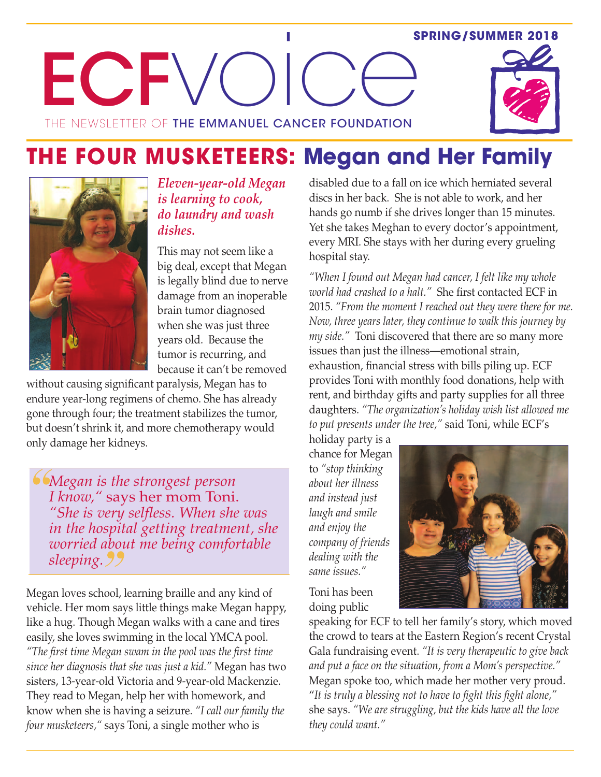#### **SPRING/SUMMER 2018**



# **THE FOUR MUSKETEERS: Megan and Her Family**



*Eleven-year-old Megan is learning to cook, do laundry and wash dishes.*

This may not seem like a big deal, except that Megan is legally blind due to nerve damage from an inoperable brain tumor diagnosed when she was just three years old. Because the tumor is recurring, and because it can't be removed

without causing significant paralysis, Megan has to endure year-long regimens of chemo. She has already gone through four; the treatment stabilizes the tumor, but doesn't shrink it, and more chemotherapy would only damage her kidneys.

*Megan is the strongest person I know,"* says her mom Toni. *"She is very selfless. When she was in the hospital getting treatment, she worried about me being comfortable sleeping.*

Megan loves school, learning braille and any kind of vehicle. Her mom says little things make Megan happy, like a hug. Though Megan walks with a cane and tires easily, she loves swimming in the local YMCA pool. *"The first time Megan swam in the pool was the first time since her diagnosis that she was just a kid."* Megan has two sisters, 13-year-old Victoria and 9-year-old Mackenzie. They read to Megan, help her with homework, and know when she is having a seizure. *"I call our family the four musketeers,"* says Toni, a single mother who is

disabled due to a fall on ice which herniated several discs in her back. She is not able to work, and her hands go numb if she drives longer than 15 minutes. Yet she takes Meghan to every doctor's appointment, every MRI. She stays with her during every grueling hospital stay.

*"When I found out Megan had cancer, I felt like my whole world had crashed to a halt."* She first contacted ECF in 2015. *"From the moment I reached out they were there for me. Now, three years later, they continue to walk this journey by my side."* Toni discovered that there are so many more issues than just the illness—emotional strain, exhaustion, financial stress with bills piling up. ECF provides Toni with monthly food donations, help with rent, and birthday gifts and party supplies for all three daughters. *"The organization's holiday wish list allowed me to put presents under the tree,"* said Toni, while ECF's

holiday party is a chance for Megan to *"stop thinking about her illness and instead just laugh and smile and enjoy the company of friends dealing with the same issues."*



Toni has been doing public

speaking for ECF to tell her family's story, which moved the crowd to tears at the Eastern Region's recent Crystal Gala fundraising event. *"It is very therapeutic to give back and put a face on the situation, from a Mom's perspective."* Megan spoke too, which made her mother very proud. "*It is truly a blessing not to have to fight this fight alone,"* she says. *"We are struggling, but the kids have all the love they could want."*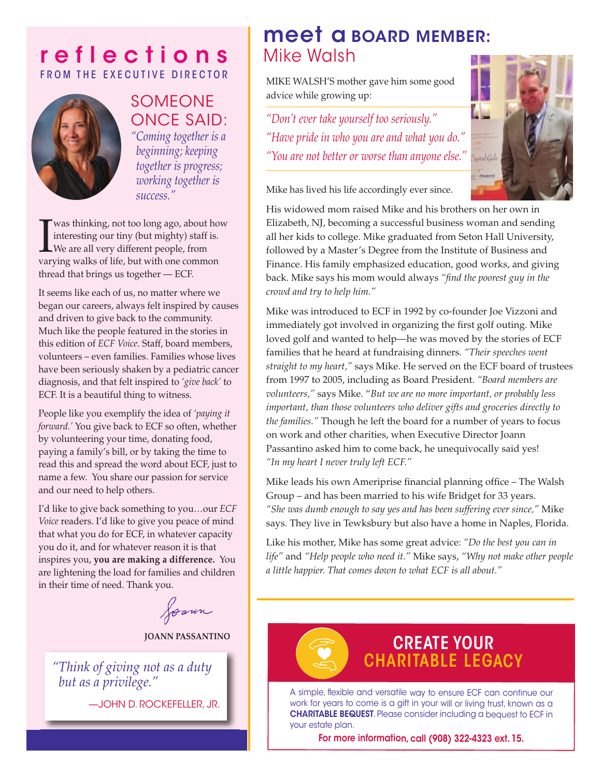## **r e f l e c t i o n s** FROM THE EXECUTIVE DIRECTOR



### **SOMEONE** once SAID: *"Coming together is a beginning; keeping together is progress;*

*working together is*

*success."*

Was thinking, not too long ago, about how interesting our tiny (but mighty) staff is.<br>We are all very different people, from varying walks of life, but with one common was thinking, not too long ago, about how interesting our tiny (but mighty) staff is. We are all very different people, from thread that brings us together — ECF.

It seems like each of us, no matter where we began our careers, always felt inspired by causes and driven to give back to the community. Much like the people featured in the stories in this edition of *ECF Voice*. Staff, board members, volunteers – even families. Families whose lives have been seriously shaken by a pediatric cancer diagnosis, and that felt inspired to *'give back'* to ECF. It is a beautiful thing to witness.

People like you exemplify the idea of *'paying it forward.'* You give back to ECF so often, whether by volunteering your time, donating food, paying a family's bill, or by taking the time to read this and spread the word about ECF, just to name a few. You share our passion for service and our need to help others.

I'd like to give back something to you…our *ECF Voice* readers. I'd like to give you peace of mind that what you do for ECF, in whatever capacity you do it, and for whatever reason it is that inspires you, **you are making a difference.** You are lightening the load for families and children in their time of need. Thank you.

Joann

#### **JOANN PASSANTINO**

*"Think of giving not as a duty but as a privilege."*

—John D. RockefelleR, JR.

## **meet a BOARD MEMBER:** Mike Walsh

MIkE WAlSH'S mother gave him some good advice while growing up:

*"Don't ever take yourself too seriously." "Have pride in who you are and what you do." "You are not better or worse than anyone else."*



Mike has lived his life accordingly ever since.

His widowed mom raised Mike and his brothers on her own in Elizabeth, NJ, becoming a successful business woman and sending all her kids to college. Mike graduated from Seton Hall University, followed by a Master's Degree from the Institute of Business and Finance. His family emphasized education, good works, and giving back. Mike says his mom would always *"find the poorest guy in the crowd and try to help him."*

Mike was introduced to ECF in 1992 by co-founder Joe Vizzoni and immediately got involved in organizing the first golf outing. Mike loved golf and wanted to help—he was moved by the stories of ECF families that he heard at fundraising dinners. *"Their speeches went straight to my heart,"* says Mike. He served on the ECF board of trustees from 1997 to 2005, including as Board President. *"Board members are volunteers,"* says Mike. "*But we are no more important, or probably less important, than those volunteers who deliver gifts and groceries directly to the families."* Though he left the board for a number of years to focus on work and other charities, when Executive Director Joann Passantino asked him to come back, he unequivocally said yes! *"In my heart I never truly left ECF."*

Mike leads his own Ameriprise financial planning office – The Walsh Group – and has been married to his wife Bridget for 33 years. *"She was dumb enough to say yes and has been suffering ever since,"* Mike says. They live in Tewksbury but also have a home in Naples, Florida.

like his mother, Mike has some great advice: *"Do the best you can in life"* and *"Help people who need it."* Mike says, *"Why not make other people a little happier. That comes down to what ECF is all about."*



## **CREATE YOUR CHARITABLE LEGACY**

A simple, flexible and versatile way to ensure ECF can continue our work for years to come is <sup>a</sup> gift in your will or living trust, known as <sup>a</sup> **CHARITABLE BEQUEST**. Please consider including <sup>a</sup> bequest to ecf in your estate plan.

**For more information, call (908) 322-4323 ext. 15.**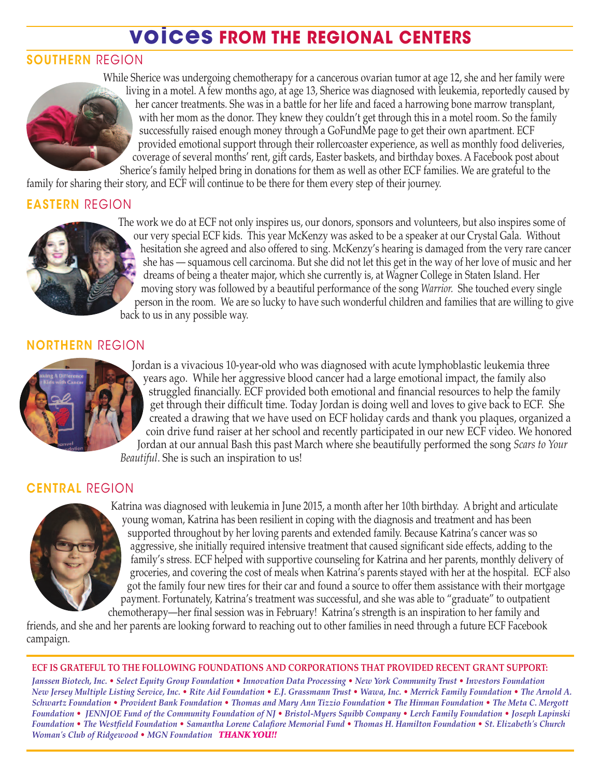## **voices FROM THE REGIONAL CENTERS**

### **SOUTHERN** RegIon



While Sherice was undergoing chemotherapy for a cancerous ovarian tumor at age 12, she and her family were living in a motel. A few months ago, at age 13, Sherice was diagnosed with leukemia, reportedly caused by her cancer treatments. She was in a battle for her life and faced a harrowing bone marrow transplant, with her mom as the donor. They knew they couldn't get through this in a motel room. So the family successfully raised enough money through a GoFundMe page to get their own apartment. ECF provided emotional support through their rollercoaster experience, as well as monthly food deliveries, coverage of several months' rent, gift cards, Easter baskets, and birthday boxes. A Facebook post about Sherice's family helped bring in donations for them as well as other ECF families. We are grateful to the

family for sharing their story, and ECF will continue to be there for them every step of their journey.

### **EASTERN** RegIon



The work we do at ECF not only inspires us, our donors, sponsors and volunteers, but also inspires some of our very special ECF kids. This year Mckenzy was asked to be a speaker at our Crystal Gala. Without hesitation she agreed and also offered to sing. Mckenzy's hearing is damaged from the very rare cancer she has — squamous cell carcinoma. But she did not let this get in the way of her love of music and her dreams of being a theater major, which she currently is, at Wagner College in Staten Island. Her moving story was followed by a beautiful performance of the song *Warrior.* She touched every single person in the room. We are so lucky to have such wonderful children and families that are willing to give back to us in any possible way.

#### **NORTHERN** RegIon



Jordan is a vivacious 10-year-old who was diagnosed with acute lymphoblastic leukemia three years ago. While her aggressive blood cancer had a large emotional impact, the family also struggled financially. ECF provided both emotional and financial resources to help the family get through their difficult time. Today Jordan is doing well and loves to give back to ECF. She created a drawing that we have used on ECF holiday cards and thank you plaques, organized a coin drive fund raiser at her school and recently participated in our new ECF video. We honored Jordan at our annual Bash this past March where she beautifully performed the song *Scars to Your Beautiful*. She is such an inspiration to us!

#### **CENTRAL** RegIon



katrina was diagnosed with leukemia in June 2015, a month after her 10th birthday. A bright and articulate young woman, katrina has been resilient in coping with the diagnosis and treatment and has been supported throughout by her loving parents and extended family. Because katrina's cancer was so aggressive, she initially required intensive treatment that caused significant side effects, adding to the family's stress. ECF helped with supportive counseling for katrina and her parents, monthly delivery of groceries, and covering the cost of meals when katrina's parents stayed with her at the hospital. ECF also got the family four new tires for their car and found a source to offer them assistance with their mortgage payment. Fortunately, katrina's treatment was successful, and she was able to "graduate" to outpatient chemotherapy—her final session was in February! katrina's strength is an inspiration to her family and

friends, and she and her parents are looking forward to reaching out to other families in need through a future ECF Facebook campaign.

#### **ECF IS GRATEFUL TO THE FOLLOWING FOUNDATIONS AND CORPORATIONS THAT PROVIDED RECENT GRANT SUPPORT:**

Janssen Biotech, Inc. • Select Equity Group Foundation • Innovation Data Processing • New York Community Trust • Investors Foundation New Jersey Multiple Listing Service, Inc. • Rite Aid Foundation • E.J. Grassmann Trust • Wawa, Inc. • Merrick Family Foundation • The Arnold A. Schwartz Foundation • Provident Bank Foundation • Thomas and Mary Ann Tizzio Foundation • The Hinman Foundation • The Meta C. Mergott Foundation • JENNJOE Fund of the Community Foundation of NJ • Bristol-Myers Squibb Company • Lerch Family Foundation • Joseph Lapinski Foundation • The Westfield Foundation • Samantha Lorene Calafiore Memorial Fund • Thomas H. Hamilton Foundation • St. Elizabeth's Church *Woman's Club of Ridgewood • MGN Foundation THANKYOU!!*